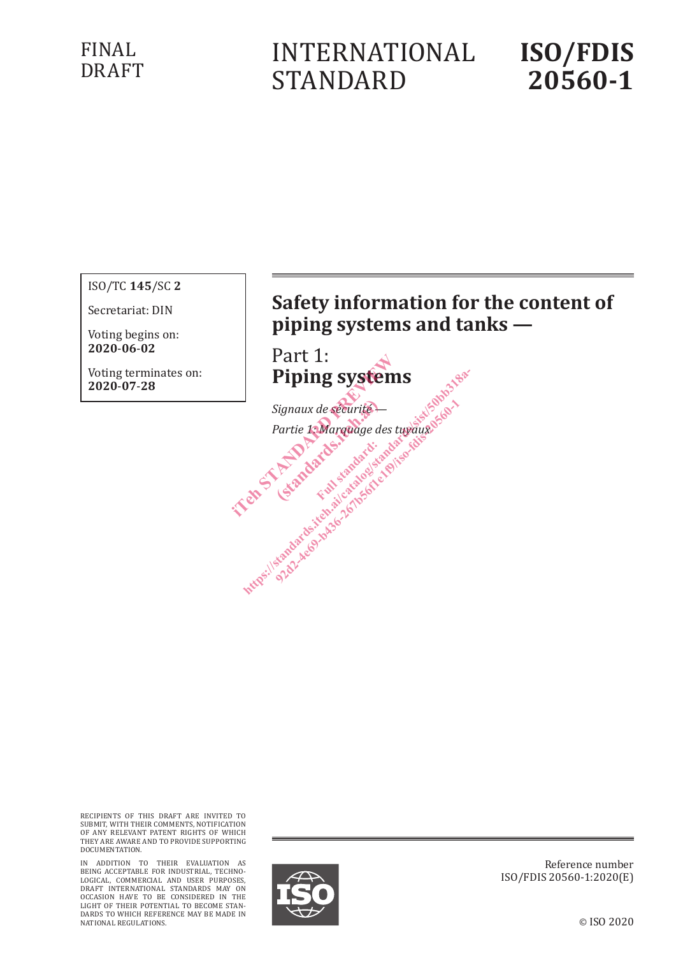# FINAL DRAFT

# INTERNATIONAL STANDARD

# **ISO/FDIS 20560-1**

ISO/TC **145**/SC **2**

Secretariat: DIN

Voting begins on: **2020**-**06**-**02**

Voting terminates on: **2020**-**07**-**28**

# **Safety information for the content of piping systems and tanks —**

Part 1: **Piping systems** Part 1:<br>
Piping systems<br>
Signaux de securite

*Signaux de sécurité — Partie 1: Marquage des tuyaux* Signaux de sécurité.<br>Partie 1: Marquage de Hiping systems<br>Signaux de geurité-<br>Partie 13 Marquage des tuvaux 1560-1<br>Partie 13 Marquage des tuvaux 1560-1<br>Catalogie des tuvaux 1500-1618<br>Catalogie 13 d'André 150 d'André 150 d'André 1618<br>Catalogie 150 d'André 1500-1618 Signaux de sécurité --<br>Partie 12 Marquage des tuyaux 9560-1<br>Partie 12 Marquage des tuyaux 956<br>Cardo de l'en al département et applier<br>Grande de l'en al département et applier<br>sandarde l'en al département

RECIPIENTS OF THIS DRAFT ARE INVITED TO SUBMIT, WITH THEIR COMMENTS, NOTIFICATION OF ANY RELEVANT PATENT RIGHTS OF WHICH THEY ARE AWARE AND TO PROVIDE SUPPORTING DOCUMENTATION.

IN ADDITION TO THEIR EVALUATION AS<br>BEING ACCEPTABLE FOR INDUSTRIAL, TECHNO-<br>LOGICAL, COMMERCIAL AND USER PURPOSES,<br>DRAFT INTERNATIONAL STANDARDS MAY ON<br>OCCASION HAVE TO BE CONSIDERED IN THE<br>LIGHT OF THEIR POTENTIAL TO BECO DARDS TO WHICH REFERENCE MAY BE MADE IN NATIONAL REGULATIONS.



Reference number ISO/FDIS 20560-1:2020(E)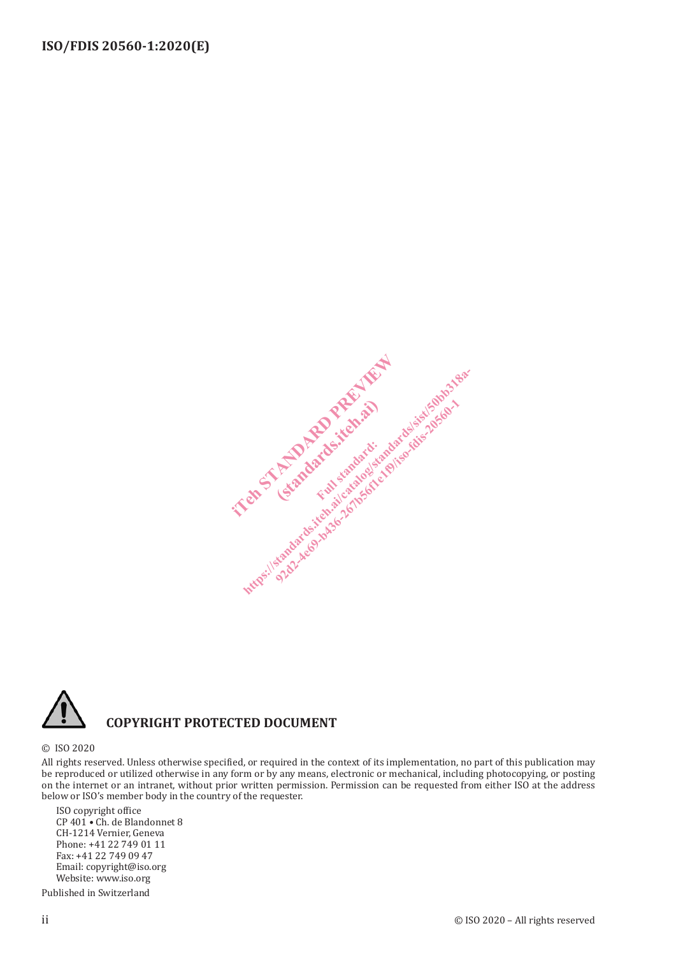



## **COPYRIGHT PROTECTED DOCUMENT**

#### © ISO 2020

All rights reserved. Unless otherwise specified, or required in the context of its implementation, no part of this publication may be reproduced or utilized otherwise in any form or by any means, electronic or mechanical, including photocopying, or posting on the internet or an intranet, without prior written permission. Permission can be requested from either ISO at the address below or ISO's member body in the country of the requester.

ISO copyright office CP 401 • Ch. de Blandonnet 8 CH-1214 Vernier, Geneva Phone: +41 22 749 01 11 Fax: +41 22 749 09 47 Email: copyright@iso.org Website: www.iso.org

Published in Switzerland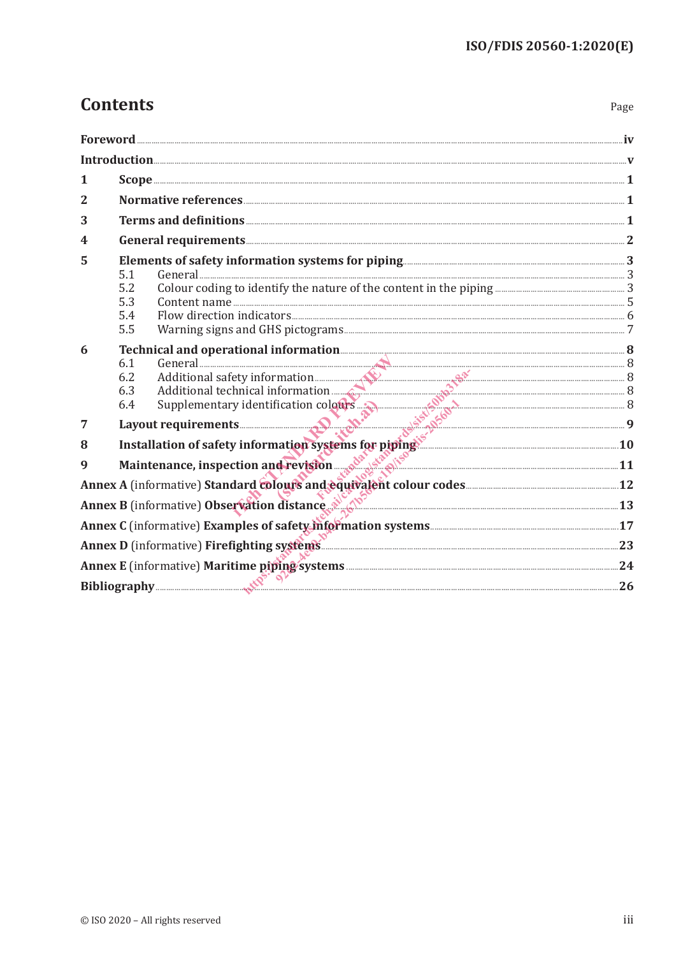# **Contents**

| 1            |                                 |                                                                                                                                                                                                                                |  |  |  |  |
|--------------|---------------------------------|--------------------------------------------------------------------------------------------------------------------------------------------------------------------------------------------------------------------------------|--|--|--|--|
| $\mathbf{2}$ |                                 |                                                                                                                                                                                                                                |  |  |  |  |
| 3            |                                 |                                                                                                                                                                                                                                |  |  |  |  |
| 4            |                                 |                                                                                                                                                                                                                                |  |  |  |  |
| 5            | 5.1<br>5.2<br>5.3<br>5.4<br>5.5 | General 23 Senator 3 Senator 3 Senator 3 Senator 3 Senator 3 Senator 3 Senator 3 Senator 3 Senator 3 Senator 3 Senator 3 Senator 3 Senator 3 Senator 3 Senator 3 Senator 3 Senator 3 Senator 3 Senator 3 Senator 3 Senator 3 S |  |  |  |  |
| 6            | 6.1<br>6.2<br>6.3               | Additional safety information 8<br>Exercise Supplementary identification colours<br>Exercise of Supplements<br>10<br>Installation of safety information systems for piping                                                     |  |  |  |  |
| 7            |                                 |                                                                                                                                                                                                                                |  |  |  |  |
| 8            |                                 |                                                                                                                                                                                                                                |  |  |  |  |
| 9            |                                 | Maintenance, inspection and revision and revision 11                                                                                                                                                                           |  |  |  |  |
|              |                                 | Annex A (informative) Standard colours and equivalent colour codes                                                                                                                                                             |  |  |  |  |
|              |                                 | Annex B (informative) Observation distance with the state of the state of the 13                                                                                                                                               |  |  |  |  |
|              |                                 |                                                                                                                                                                                                                                |  |  |  |  |
|              |                                 | Annex D (informative) Firefighting systems Manual Communication and 23                                                                                                                                                         |  |  |  |  |
|              |                                 | Annex E (informative) Maritime piping systems <b>Example 24</b> 24                                                                                                                                                             |  |  |  |  |
|              |                                 | <b>Bibliography</b> 26<br>and the contract of the contract of the contract of the contract of the contract of the contract of the contract of                                                                                  |  |  |  |  |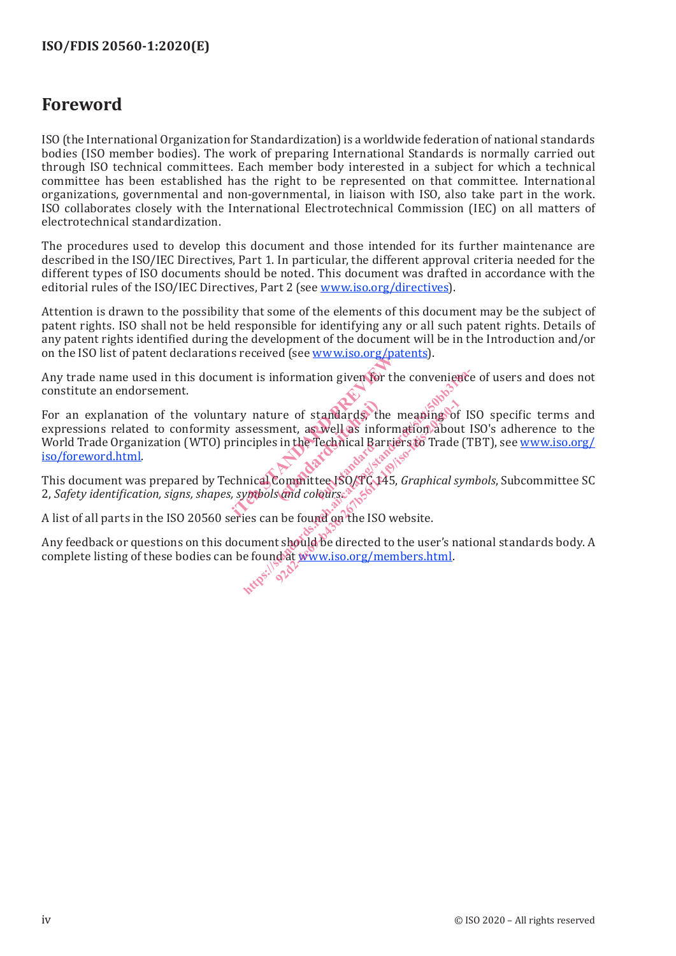## **Foreword**

ISO (the International Organization for Standardization) is a worldwide federation of national standards bodies (ISO member bodies). The work of preparing International Standards is normally carried out through ISO technical committees. Each member body interested in a subject for which a technical committee has been established has the right to be represented on that committee. International organizations, governmental and non-governmental, in liaison with ISO, also take part in the work. ISO collaborates closely with the International Electrotechnical Commission (IEC) on all matters of electrotechnical standardization.

The procedures used to develop this document and those intended for its further maintenance are described in the ISO/IEC Directives, Part 1. In particular, the different approval criteria needed for the different types of ISO documents should be noted. This document was drafted in accordance with the editorial rules of the ISO/IEC Directives, Part 2 (see www.iso.org/directives).

Attention is drawn to the possibility that some of the elements of this document may be the subject of patent rights. ISO shall not be held responsible for identifying any or all such patent rights. Details of any patent rights identified during the development of the document will be in the Introduction and/or on the ISO list of patent declarations received (see www.iso.org/patents).

Any trade name used in this document is information given for the convenience of users and does not constitute an endorsement.

For an explanation of the voluntary nature of standards, the meaning of ISO specific terms and expressions related to conformity assessment, as well as information about ISO's adherence to the World Trade Organization (WTO) principles in the Technical Barriers to Trade (TBT), see www.iso.org/<br>iso/foreword.html. iso/foreword.html. is information given for the community nature of standards, the meansessment, as well as information inciples in the Technical Barriers is the Technical Barriers in the Technical Barriers is the Technical Commuttee 150/170 The dividends of the ment, as well as info<br>sin the Technical Bar<br>sin the Technical Bar<br>committee 150/TC 12 the convenience of standards, the meaning of I<br>sessment, as well as information about<br>nciples in the Technical Barriers to Trade ("<br>nical Committee ISO/TC 145, *Graphical syn*<br>probols and colours:<br>ies can be found on the I are of standards, the meaning of<br>ment, as well as information about<br>is in the Technical Barriers to Trade<br>committee 150/TC 145, Graphical s<br>committee 150/TC 145, Graphical s<br>and colours:

This document was prepared by Technical Committee ISO/TC 145, *Graphical symbols*, Subcommittee SC 2, *Safety identification, signs, shapes, symbols and colours*. Fection Care Sai

A list of all parts in the ISO 20560 series can be found on the ISO website.

Any feedback or questions on this document should be directed to the user's national standards body. A complete listing of these bodies can be found at www.iso.org/members.html.<br> $\mathbb{R}^{\mathbb{R}^3}$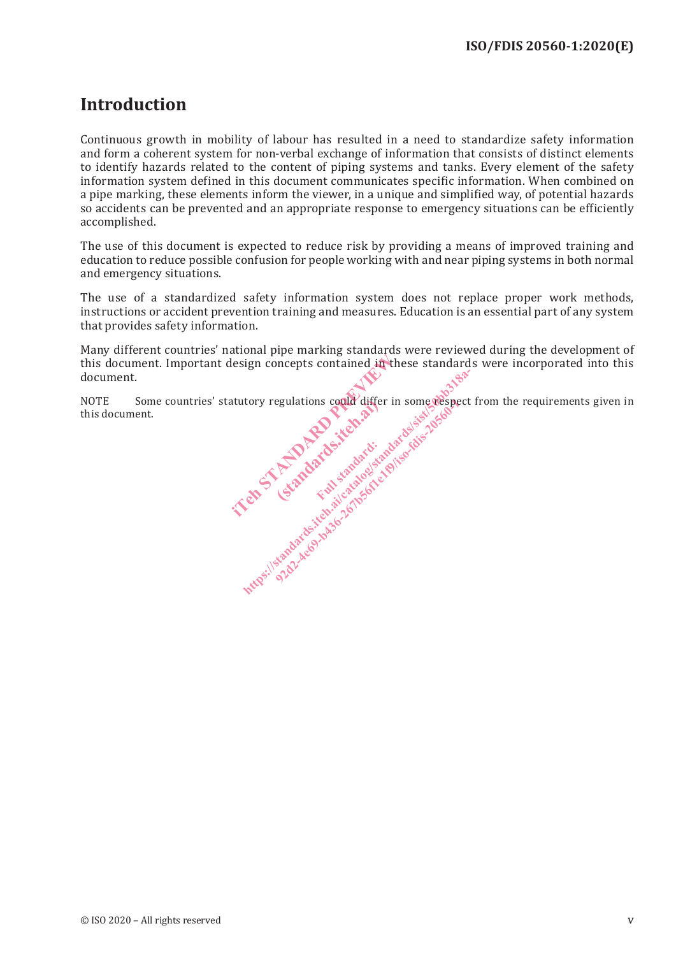# **Introduction**

Continuous growth in mobility of labour has resulted in a need to standardize safety information and form a coherent system for non-verbal exchange of information that consists of distinct elements to identify hazards related to the content of piping systems and tanks. Every element of the safety information system defined in this document communicates specific information. When combined on a pipe marking, these elements inform the viewer, in a unique and simplified way, of potential hazards so accidents can be prevented and an appropriate response to emergency situations can be efficiently accomplished.

The use of this document is expected to reduce risk by providing a means of improved training and education to reduce possible confusion for people working with and near piping systems in both normal and emergency situations.

The use of a standardized safety information system does not replace proper work methods, instructions or accident prevention training and measures. Education is an essential part of any system that provides safety information.

Many different countries' national pipe marking standards were reviewed during the development of this document. Important design concepts contained in these standards were incorporated into this document. itesign concepts contained in these

NOTE Some countries' statutory regulations could differ in some respect from the requirements given in this document. egulations could differ ttory regulations could differ in some western Productions could differ in some wesper<br>Contract of the transfer change of discrete<br>Standard change of the transfer change of discrete<br>standard change of the standard change of discrete<br>standard change of the standard chan

© ISO 2020 – All rights reserved v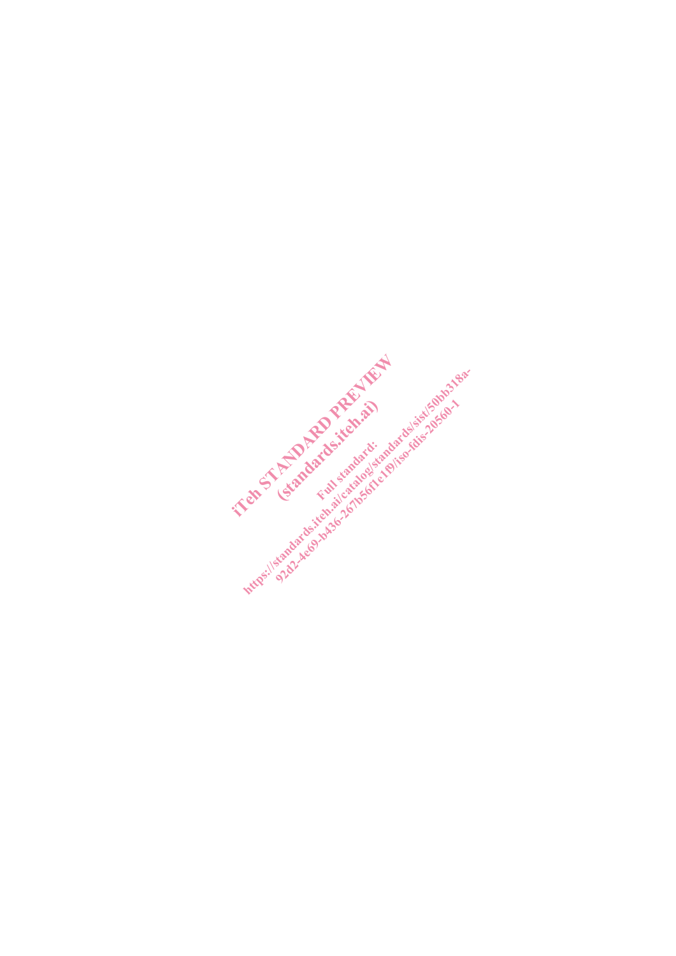Tich of Amazon President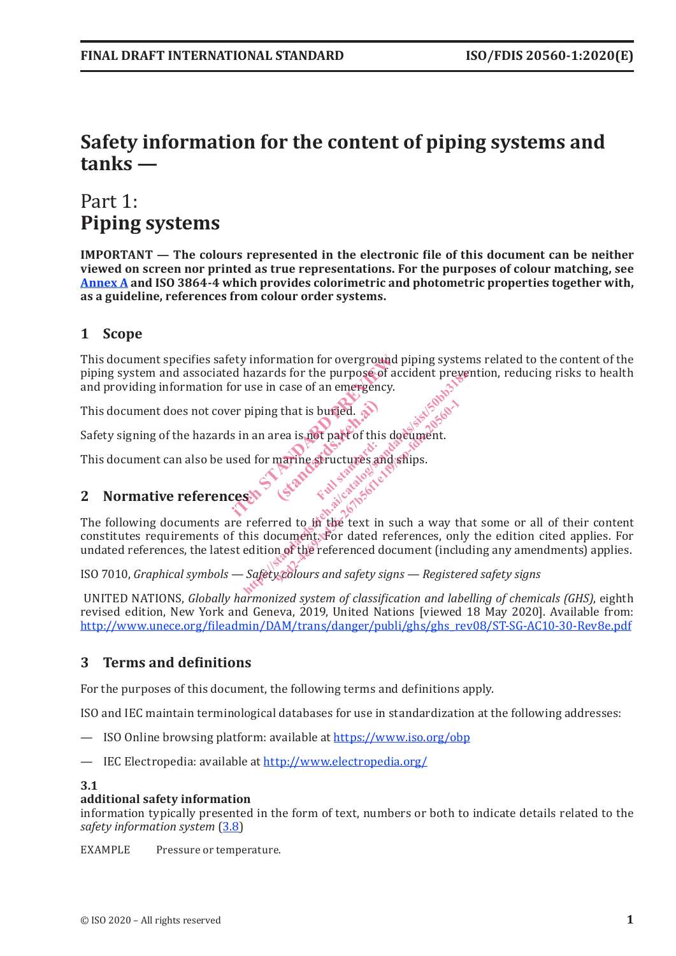# **Safety information for the content of piping systems and tanks —**

# Part 1: **Piping systems**

**IMPORTANT — The colours represented in the electronic file of this document can be neither viewed on screen nor printed as true representations. For the purposes of colour matching, see Annex A and ISO 3864-4 which provides colorimetric and photometric properties together with, as a guideline, references from colour order systems.**

### **1 Scope**

This document specifies safety information for overground piping systems related to the content of the piping system and associated hazards for the purpose of accident prevention, reducing risks to health and providing information for use in case of an emergency. ety information for overground pip<br>de hazards for the purpose of accid<br>or use in case of an emergency.<br>er piping that is burded.<br>sin an area is not part of this doeur<br>used for marine structures and ship<br>cess

This document does not cover piping that is buried.  $\bullet$ 

Safety signing of the hazards in an area is not part of this document. extends to the standard standards.

This document can also be used for marine structures and ships.

### **2 Normative references**

The following documents are referred to in the text in such a way that some or all of their content constitutes requirements of this document. For dated references, only the edition cited applies. For undated references, the latest edition of the referenced document (including any amendments) applies. hazards for the purpose of accident prever<br>use in case of an emergency.<br>piping that is buried.<br>in an area is not part of this document.<br>ed for marine structures and ships.<br> $\mathbb{R}^{n}$  and  $\mathbb{R}^{n}$  and  $\mathbb{R}^{n}$  and  $\$ exercise that is burged.<br>
The ais not part of this doeument.<br>
marine structures and ships.<br>
The structures and ships.<br>
The structure of the text in such a way to<br>
compension dated references, on<br>
in of the referenced docum

ISO 7010, *Graphical symbols — Safety colours and safety signs — Registered safety signs*

 UNITED NATIONS, *Globally harmonized system of classification and labelling of chemicals (GHS)*, eighth revised edition, New York and Geneva, 2019, United Nations [viewed 18 May 2020]. Available from: http://www.unece.org/fileadmin/DAM/trans/danger/publi/ghs/ghs\_rev08/ST-SG-AC10-30-Rev8e.pdf

### **3 Terms and definitions**

For the purposes of this document, the following terms and definitions apply.

ISO and IEC maintain terminological databases for use in standardization at the following addresses:

- ISO Online browsing platform: available at https://www.iso.org/obp
- IEC Electropedia: available at http://www.electropedia.org/

#### **3.1**

#### **additional safety information**

information typically presented in the form of text, numbers or both to indicate details related to the *safety information system* (3.8)

EXAMPLE Pressure or temperature.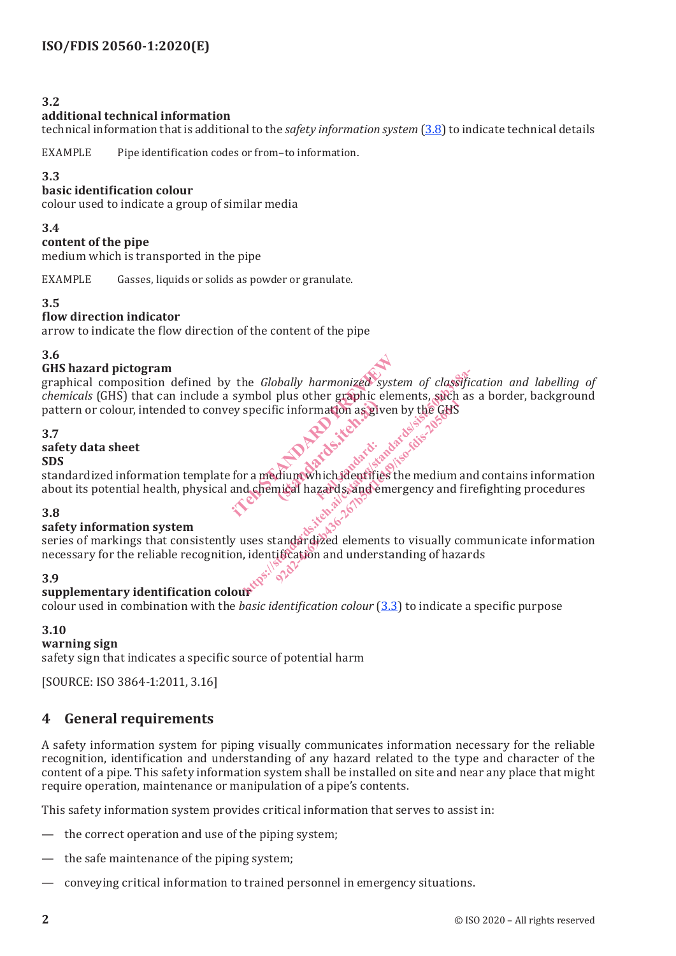#### **3.2**

#### **additional technical information**

technical information that is additional to the *safety information system* (3.8) to indicate technical details

EXAMPLE Pipe identification codes or from-to information.

#### **3.3**

#### **basic identification colour**

colour used to indicate a group of similar media

#### **3.4**

#### **content of the pipe**

medium which is transported in the pipe

EXAMPLE Gasses, liquids or solids as powder or granulate.

#### **3.5**

#### **flow direction indicator**

arrow to indicate the flow direction of the content of the pipe

#### **3.6**

#### **GHS hazard pictogram**

graphical composition defined by the *Globally harmonized system of classification and labelling of chemicals* (GHS) that can include a symbol plus other graphic elements, such as a border, background pattern or colour, intended to convey specific information as given by the GHS the *Globally harmonized* system<br>symbol plus other graphic elemen<br>ey specific information as given by y<br>for a medium which identifies the n<br>and chemical hazards, and emerger he *Globally harmonized system of classifit*<br>mbol plus other graphic elements, such a<br>specific information as given by the GHS<br>are desired in the GHS<br>of the catalogical size of the property<br>of the catalogical hazards, and

#### **3.7**

#### **safety data sheet**

**SDS**

standardized information template for a medium which identifies the medium and contains information about its potential health, physical and chemical hazards, and emergency and firefighting procedures plus statel standards. Pris stifte state contents by the GHS<br>it information as given by the GHS<br>diumwhich identifies the medium<br>nical hazards, and emergency and<br>tandardized elements to visually c<br>ifteation and understanding of haz

#### **3.8**

#### **safety information system**

series of markings that consistently uses standardized elements to visually communicate information necessary for the reliable recognition, identification and understanding of hazards

#### **3.9**

#### **supplementary identification colour**

colour used in combination with the *basic identification colour* (3.3) to indicate a specific purpose

#### **3.10**

#### **warning sign**

safety sign that indicates a specific source of potential harm

[SOURCE: ISO 3864-1:2011, 3.16]

### **4 General requirements**

A safety information system for piping visually communicates information necessary for the reliable recognition, identification and understanding of any hazard related to the type and character of the content of a pipe. This safety information system shall be installed on site and near any place that might require operation, maintenance or manipulation of a pipe's contents.

This safety information system provides critical information that serves to assist in:

- the correct operation and use of the piping system;
- the safe maintenance of the piping system;
- conveying critical information to trained personnel in emergency situations.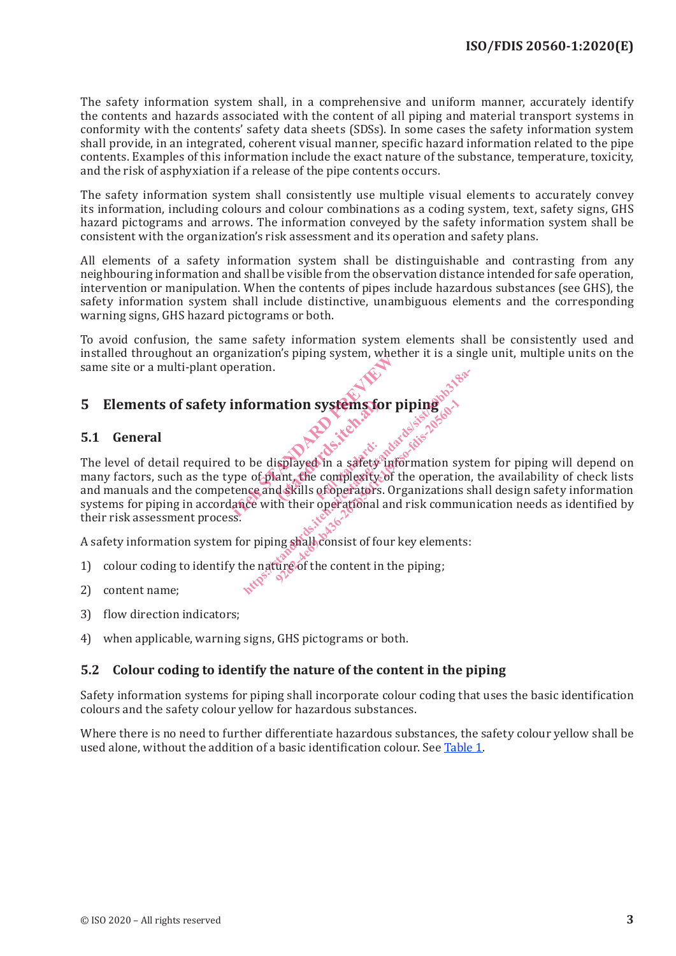The safety information system shall, in a comprehensive and uniform manner, accurately identify the contents and hazards associated with the content of all piping and material transport systems in conformity with the contents' safety data sheets (SDSs). In some cases the safety information system shall provide, in an integrated, coherent visual manner, specific hazard information related to the pipe contents. Examples of this information include the exact nature of the substance, temperature, toxicity, and the risk of asphyxiation if a release of the pipe contents occurs.

The safety information system shall consistently use multiple visual elements to accurately convey its information, including colours and colour combinations as a coding system, text, safety signs, GHS hazard pictograms and arrows. The information conveyed by the safety information system shall be consistent with the organization's risk assessment and its operation and safety plans.

All elements of a safety information system shall be distinguishable and contrasting from any neighbouring information and shall be visible from the observation distance intended for safe operation, intervention or manipulation. When the contents of pipes include hazardous substances (see GHS), the safety information system shall include distinctive, unambiguous elements and the corresponding warning signs, GHS hazard pictograms or both.

To avoid confusion, the same safety information system elements shall be consistently used and installed throughout an organization's piping system, whether it is a single unit, multiple units on the same site or a multi-plant operation.

### **5 Elements of safety information systems for piping**

### **5.1 General**

The level of detail required to be displayed in a safety information system for piping will depend on many factors, such as the type of plant, the complexity of the operation, the availability of check lists and manuals and the competence and skills of operators. Organizations shall design safety information systems for piping in accordance with their operational and risk communication needs as identified by their risk assessment process. anizations piping system, whether<br>peration.<br> **information systems for pip**<br> **information systems for pip**<br>
to be displayed in a safety inform<br>
rpe of plant, the complexity of the<br>
tence and skills of operators. Organ<br>
lanc ation systems for<br>
Ful standard in a safety<br>
ant, the complexive<br>
deskills of operators. formation systems for piping space.<br>
the displayed in a safety information system of the complexity of the operation<br>
are of plant, the complexity of the operations is<br>
account their operational and risk community of the s ation systems for piping<br>
1920<br>
1920<br>
1920<br>
1920<br>
1920<br>
1920<br>
1920<br>
1930<br>
1930<br>
1930<br>
1930<br>
1930<br>
1930<br>
1930<br>
1930<br>
1930<br>
1930<br>
1930<br>
1930<br>
1930<br>
1930<br>
1930<br>
1930<br>
1930<br>
1930<br>
1940<br>
1940<br>
1940<br>
1940<br>
1940<br>
1940<br>
1940<br>
1940

A safety information system for piping shall consist of four key elements:

- 1) colour coding to identify the nature of the content in the piping;<br>2) content name:
- 2) content name;
- 3) flow direction indicators;
- 4) when applicable, warning signs, GHS pictograms or both.

#### **5.2 Colour coding to identify the nature of the content in the piping**

Safety information systems for piping shall incorporate colour coding that uses the basic identification colours and the safety colour yellow for hazardous substances.

Where there is no need to further differentiate hazardous substances, the safety colour yellow shall be used alone, without the addition of a basic identification colour. See Table 1.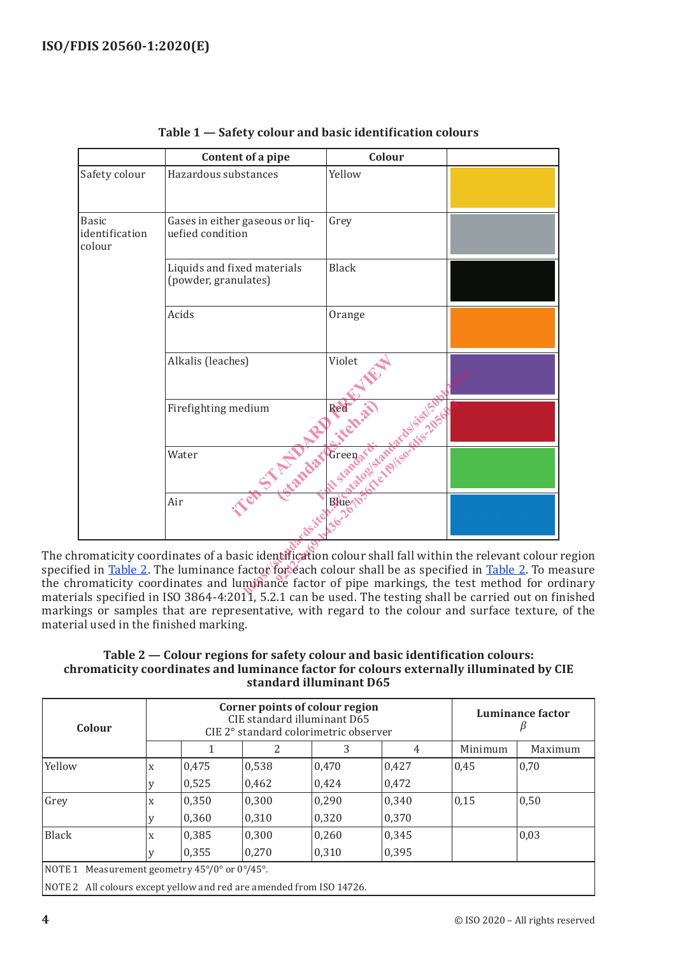|                                          | Content of a pipe                                                                                                                                                                                                                                                                                                                                           | Colour                                            |  |
|------------------------------------------|-------------------------------------------------------------------------------------------------------------------------------------------------------------------------------------------------------------------------------------------------------------------------------------------------------------------------------------------------------------|---------------------------------------------------|--|
| Safety colour                            | Hazardous substances                                                                                                                                                                                                                                                                                                                                        | Yellow                                            |  |
| <b>Basic</b><br>identification<br>colour | Gases in either gaseous or liq-<br>uefied condition                                                                                                                                                                                                                                                                                                         | Grey                                              |  |
|                                          | Liquids and fixed materials<br>(powder, granulates)                                                                                                                                                                                                                                                                                                         | Black                                             |  |
|                                          | Acids                                                                                                                                                                                                                                                                                                                                                       | Orange                                            |  |
|                                          | Alkalis (leaches)                                                                                                                                                                                                                                                                                                                                           | Violet                                            |  |
|                                          | Firefighting medium                                                                                                                                                                                                                                                                                                                                         | Red                                               |  |
|                                          | Water<br><b>RADEEF</b>                                                                                                                                                                                                                                                                                                                                      | Safe to Ifactive 2056<br>Wabagatantar<br>Greenard |  |
|                                          | Air                                                                                                                                                                                                                                                                                                                                                         | Blue No.                                          |  |
|                                          | romaticity coordinates of a basic identification colour shall fall within the relevant colour<br>ed in Table 2. The luminance factor for each colour shall be as specified in Table 2. To me<br>romaticity coordinates and luminance factor of pipe markings, the test method for or<br>$1$ $(2)$ $1$ $160.2064.4204$ $524$ $1$ $1.701$ $1.21$ $1.11$ $1.1$ |                                                   |  |

**Table 1 — Safety colour and basic identification colours**

The chromaticity coordinates of a basic identification colour shall fall within the relevant colour region specified in Table 2. The luminance factor for each colour shall be as specified in Table 2. To measure the chromaticity coordinates and luminance factor of pipe markings, the test method for ordinary materials specified in ISO 3864-4:2011, 5.2.1 can be used. The testing shall be carried out on finished markings or samples that are representative, with regard to the colour and surface texture, of the material used in the finished marking.

#### **Table 2 — Colour regions for safety colour and basic identification colours: chromaticity coordinates and luminance factor for colours externally illuminated by CIE standard illuminant D65**

| Colour                                                                         |   | Corner points of colour region<br>CIE standard illuminant D65<br>CIE 2° standard colorimetric observer | Luminance factor |       |       |         |         |
|--------------------------------------------------------------------------------|---|--------------------------------------------------------------------------------------------------------|------------------|-------|-------|---------|---------|
|                                                                                |   |                                                                                                        | 2                | 3     | 4     | Minimum | Maximum |
| Yellow                                                                         | X | 0,475                                                                                                  | 0,538            | 0,470 | 0,427 | 0,45    | 0,70    |
|                                                                                | у | 0.525                                                                                                  | 0,462            | 0,424 | 0,472 |         |         |
| Grey                                                                           | X | 0,350                                                                                                  | 0,300            | 0,290 | 0,340 | 0,15    | 0,50    |
|                                                                                | y | 0,360                                                                                                  | 0,310            | 0,320 | 0,370 |         |         |
| Black                                                                          | X | 0,385                                                                                                  | 0,300            | 0,260 | 0,345 |         | 0,03    |
|                                                                                | V | 0,355                                                                                                  | 0,270            | 0,310 | 0,395 |         |         |
| NOTE 1 Measurement geometry $45^{\circ}/0^{\circ}$ or $0^{\circ}/45^{\circ}$ . |   |                                                                                                        |                  |       |       |         |         |
| NOTE 2 All colours except yellow and red are amended from ISO 14726.           |   |                                                                                                        |                  |       |       |         |         |